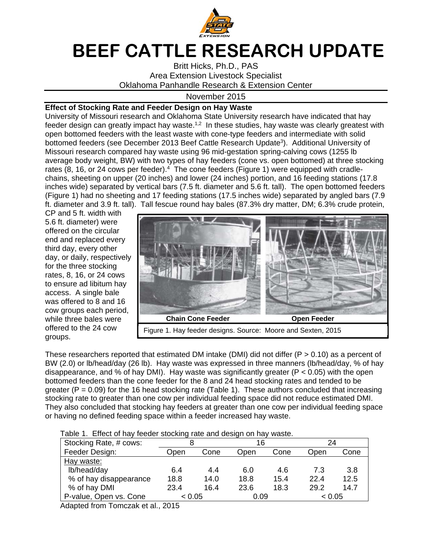

## **BEEF CATTLE RESEARCH UPDATE**

Britt Hicks, Ph.D., PAS Area Extension Livestock Specialist Oklahoma Panhandle Research & Extension Center

November 2015

## **Effect of Stocking Rate and Feeder Design on Hay Waste**

University of Missouri research and Oklahoma State University research have indicated that hay feeder design can greatly impact hay waste.<sup>1,2</sup> In these studies, hay waste was clearly greatest with open bottomed feeders with the least waste with cone-type feeders and intermediate with solid bottomed feeders (see December 2013 Beef Cattle Research Update<sup>3</sup>). Additional University of Missouri research compared hay waste using 96 mid-gestation spring-calving cows (1255 lb average body weight, BW) with two types of hay feeders (cone vs. open bottomed) at three stocking rates  $(8, 16, 0r)$  24 cows per feeder).<sup>4</sup> The cone feeders (Figure 1) were equipped with cradlechains, sheeting on upper (20 inches) and lower (24 inches) portion, and 16 feeding stations (17.8 inches wide) separated by vertical bars (7.5 ft. diameter and 5.6 ft. tall). The open bottomed feeders (Figure 1) had no sheeting and 17 feeding stations (17.5 inches wide) separated by angled bars (7.9 ft. diameter and 3.9 ft. tall). Tall fescue round hay bales (87.3% dry matter, DM; 6.3% crude protein,

CP and 5 ft. width with 5.6 ft. diameter) were offered on the circular end and replaced every third day, every other day, or daily, respectively for the three stocking rates, 8, 16, or 24 cows to ensure ad libitum hay access. A single bale was offered to 8 and 16 cow groups each period, while three bales were offered to the 24 cow groups.



These researchers reported that estimated DM intake (DMI) did not differ  $(P > 0.10)$  as a percent of BW (2.0) or lb/head/day (26 lb). Hay waste was expressed in three manners (lb/head/day, % of hay disappearance, and % of hay DMI). Hay waste was significantly greater ( $P < 0.05$ ) with the open bottomed feeders than the cone feeder for the 8 and 24 head stocking rates and tended to be greater ( $P = 0.09$ ) for the 16 head stocking rate (Table 1). These authors concluded that increasing stocking rate to greater than one cow per individual feeding space did not reduce estimated DMI. They also concluded that stocking hay feeders at greater than one cow per individual feeding space or having no defined feeding space within a feeder increased hay waste.

|  |  |  | Table 1. Effect of hay feeder stocking rate and design on hay waste. |
|--|--|--|----------------------------------------------------------------------|
|  |  |  |                                                                      |

| Stocking Rate, # cows: |        |      | 16   |      | 24     |      |  |  |  |  |
|------------------------|--------|------|------|------|--------|------|--|--|--|--|
| Feeder Design:         | Open   | Cone | Open | Cone | Open   | Cone |  |  |  |  |
| Hay waste:             |        |      |      |      |        |      |  |  |  |  |
| lb/head/day            | 6.4    | 4.4  | 6.0  | 4.6  | 7.3    | 3.8  |  |  |  |  |
| % of hay disappearance | 18.8   | 14.0 | 18.8 | 15.4 | 22.4   | 12.5 |  |  |  |  |
| % of hay DMI           | 23.4   | 16.4 | 23.6 | 18.3 | 29.2   | 14.7 |  |  |  |  |
| P-value, Open vs. Cone | < 0.05 |      | 0.09 |      | < 0.05 |      |  |  |  |  |
| $\blacksquare$         |        |      |      |      |        |      |  |  |  |  |

Adapted from Tomczak et al., 2015